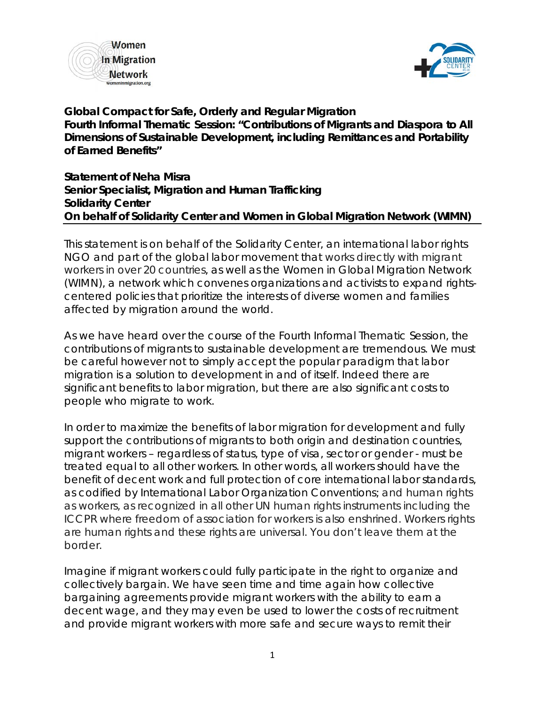



**Global Compact for Safe, Orderly and Regular Migration Fourth Informal Thematic Session: "Contributions of Migrants and Diaspora to All Dimensions of Sustainable Development, including Remittances and Portability of Earned Benefits"**

**Statement of Neha Misra Senior Specialist, Migration and Human Trafficking Solidarity Center On behalf of Solidarity Center and Women in Global Migration Network (WIMN)**

This statement is on behalf of the Solidarity Center, an international labor rights NGO and part of the global labor movement that works directly with migrant workers in over 20 countries, as well as the Women in Global Migration Network (WIMN), a network which convenes organizations and activists to expand rightscentered policies that prioritize the interests of diverse women and families affected by migration around the world.

As we have heard over the course of the Fourth Informal Thematic Session, the contributions of migrants to sustainable development are tremendous. We must be careful however not to simply accept the popular paradigm that labor migration is a solution to development in and of itself. Indeed there are significant benefits to labor migration, but there are also significant costs to people who migrate to work.

In order to maximize the benefits of labor migration for development and fully support the contributions of migrants to both origin and destination countries, migrant workers – regardless of status, type of visa, sector or gender - must be treated equal to all other workers. In other words, all workers should have the benefit of decent work and full protection of core international labor standards, as codified by International Labor Organization Conventions; and human rights as workers, as recognized in all other UN human rights instruments including the ICCPR where freedom of association for workers is also enshrined. Workers rights are human rights and these rights are universal. You don't leave them at the border.

Imagine if migrant workers could fully participate in the right to organize and collectively bargain. We have seen time and time again how collective bargaining agreements provide migrant workers with the ability to earn a decent wage, and they may even be used to lower the costs of recruitment and provide migrant workers with more safe and secure ways to remit their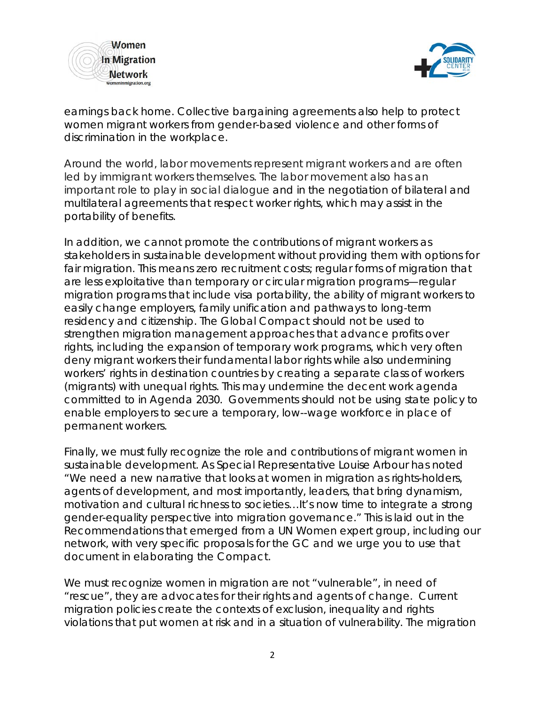



earnings back home. Collective bargaining agreements also help to protect women migrant workers from gender-based violence and other forms of discrimination in the workplace.

Around the world, labor movements represent migrant workers and are often led by immigrant workers themselves. The labor movement also has an important role to play in social dialogue and in the negotiation of bilateral and multilateral agreements that respect worker rights, which may assist in the portability of benefits.

In addition, we cannot promote the contributions of migrant workers as stakeholders in sustainable development without providing them with options for fair migration. This means zero recruitment costs; regular forms of migration that are less exploitative than temporary or circular migration programs—regular migration programs that include visa portability, the ability of migrant workers to easily change employers, family unification and pathways to long-term residency and citizenship. The Global Compact should not be used to strengthen migration management approaches that advance profits over rights, including the expansion of temporary work programs, which very often deny migrant workers their fundamental labor rights while also undermining workers' rights in destination countries by creating a separate class of workers (migrants) with unequal rights. This may undermine the decent work agenda committed to in Agenda 2030. Governments should not be using state policy to enable employers to secure a temporary, low--wage workforce in place of permanent workers.

Finally, we must fully recognize the role and contributions of migrant women in sustainable development. As Special Representative Louise Arbour has noted "We need a new narrative that looks at women in migration as rights-holders, agents of development, and most importantly, leaders, that bring dynamism, motivation and cultural richness to societies…It's now time to integrate a strong gender-equality perspective into migration governance." This is laid out in the *Recommendations* that emerged from a UN Women expert group, including our network, with very specific proposals for the GC and we urge you to use that document in elaborating the Compact.

We must recognize women in migration are not "vulnerable", in need of "rescue", they are advocates for their rights and agents of change. Current migration policies *create* the contexts of exclusion, inequality and rights violations that put women at risk and in a situation of vulnerability. The migration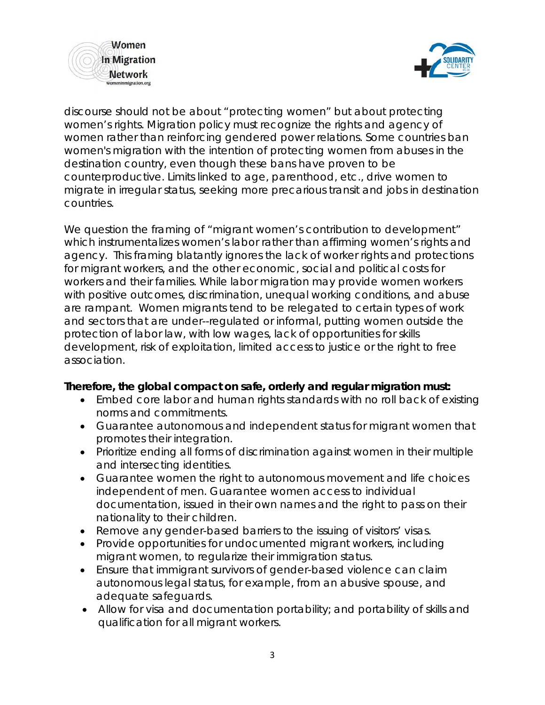



discourse should not be about "protecting women" but about protecting *women's rights.* Migration policy must recognize the rights and agency of women rather than reinforcing gendered power relations. Some countries ban women's migration with the intention of protecting women from abuses in the destination country, even though these bans have proven to be counterproductive. Limits linked to age, parenthood, etc., drive women to migrate in irregular status, seeking more precarious transit and jobs in destination countries.

We question the framing of "*migrant women's contribution to development*" which *instrumentalizes* women's labor rather than affirming women's rights and agency. This framing blatantly ignores the lack of worker rights and protections for migrant workers, and the other economic, social and political costs for workers and their families. While labor migration *may* provide women workers with positive outcomes, discrimination, unequal working conditions, and abuse are rampant. Women migrants tend to be relegated to certain types of work and sectors that are under--regulated or informal, putting women outside the protection of labor law, with low wages, lack of opportunities for skills development, risk of exploitation, limited access to justice or the right to free association.

## **Therefore, the global compact on safe, orderly and regular migration must:**

- Embed core labor and human rights standards with no roll back of existing norms and commitments.
- Guarantee autonomous and independent status for migrant women that promotes their integration.
- Prioritize ending all forms of discrimination against women in their multiple and intersecting identities.
- Guarantee women the right to autonomous movement and life choices independent of men. Guarantee women access to individual documentation, issued in their own names and the right to pass on their nationality to their children.
- Remove any gender-based barriers to the issuing of visitors' visas.
- Provide opportunities for undocumented migrant workers, including migrant women, to regularize their immigration status.
- Ensure that immigrant survivors of gender-based violence can claim autonomous legal status, for example, from an abusive spouse, and adequate safeguards.
- Allow for visa and documentation portability; and portability of skills and qualification for all migrant workers.